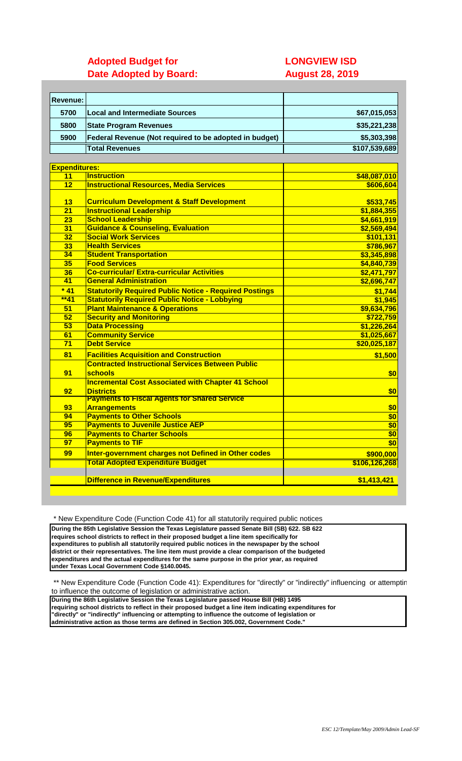# **Adopted Budget for LONGVIEW ISD Date Adopted by Board: August 28, 2019**

| <b>Revenue:</b>      |                                                               |                  |
|----------------------|---------------------------------------------------------------|------------------|
| 5700                 | <b>Local and Intermediate Sources</b>                         | \$67,015,053     |
|                      |                                                               |                  |
| 5800                 | <b>State Program Revenues</b>                                 | \$35,221,238     |
| 5900                 | Federal Revenue (Not required to be adopted in budget)        | \$5,303,398      |
|                      | <b>Total Revenues</b>                                         | \$107,539,689    |
|                      |                                                               |                  |
| <b>Expenditures:</b> |                                                               |                  |
| 11                   | <b>Instruction</b>                                            | \$48,087,010     |
| 12                   | <b>Instructional Resources, Media Services</b>                | \$606,604        |
|                      |                                                               |                  |
| 13                   | <b>Curriculum Development &amp; Staff Development</b>         | \$533,745        |
| $\overline{21}$      | <b>Instructional Leadership</b>                               | \$1,884,355      |
| 23                   | <b>School Leadership</b>                                      | \$4,661,919      |
| 31                   | <b>Guidance &amp; Counseling, Evaluation</b>                  | \$2,569,494      |
| 32                   | <b>Social Work Services</b>                                   | \$101,131        |
| 33                   | <b>Health Services</b>                                        | \$786,967        |
| 34                   | <b>Student Transportation</b>                                 | \$3,345,898      |
| 35                   | <b>Food Services</b>                                          | \$4,840,739      |
| 36                   | <b>Co-curricular/ Extra-curricular Activities</b>             | \$2,471,797      |
| 41                   | <b>General Administration</b>                                 | \$2,696,747      |
| $*41$                | <b>Statutorily Required Public Notice - Required Postings</b> | \$1,744          |
| $**41$               | <b>Statutorily Required Public Notice - Lobbying</b>          | \$1,945          |
| 51                   | <b>Plant Maintenance &amp; Operations</b>                     | \$9,634,796      |
| 52                   | <b>Security and Monitoring</b>                                | \$722,759        |
| 53                   | <b>Data Processing</b>                                        | \$1,226,264      |
| 61                   | <b>Community Service</b>                                      | \$1,025,667      |
| $\overline{71}$      | <b>Debt Service</b>                                           | \$20,025,187     |
| 81                   | <b>Facilities Acquisition and Construction</b>                | \$1,500          |
|                      | <b>Contracted Instructional Services Between Public</b>       |                  |
| 91                   | schools                                                       | \$0              |
|                      | <b>Incremental Cost Associated with Chapter 41 School</b>     |                  |
| 92                   | <b>Districts</b>                                              | \$0              |
|                      | <b>Payments to Fiscal Agents for Shared Service</b>           |                  |
| 93                   | <b>Arrangements</b>                                           | \$0              |
| 94                   | <b>Payments to Other Schools</b>                              | \$0              |
| 95                   | <b>Payments to Juvenile Justice AEP</b>                       | $\frac{1}{2}$    |
| 96                   | <b>Payments to Charter Schools</b>                            | \$0              |
| $\overline{97}$      | <b>Payments to TIF</b>                                        | $\overline{\$0}$ |
| 99                   | Inter-government charges not Defined in Other codes           | \$900,000        |
|                      | <b>Total Adopted Expenditure Budget</b>                       | \$106,126,268    |
|                      | <b>Difference in Revenue/Expenditures</b>                     | \$1,413,421      |
|                      |                                                               |                  |

\* New Expenditure Code (Function Code 41) for all statutorily required public notices

**During the 85th Legislative Session the Texas Legislature passed Senate Bill (SB) 622. SB 622 requires school districts to reflect in their proposed budget a line item specifically for expenditures to publish all statutorily required public notices in the newspaper by the school district or their representatives. The line item must provide a clear comparison of the budgeted expenditures and the actual expenditures for the same purpose in the prior year, as required under Texas Local Government Code §140.0045.** 

\*\* New Expenditure Code (Function Code 41): Expenditures for "directly" or "indirectly" influencing or attemptir to influence the outcome of legislation or administrative action.

**During the 86th Legislative Session the Texas Legislature passed House Bill (HB) 1495 requiring school districts to reflect in their proposed budget a line item indicating expenditures for "directly" or "indirectly" influencing or attempting to influence the outcome of legislation or administrative action as those terms are defined in Section 305.002, Government Code."**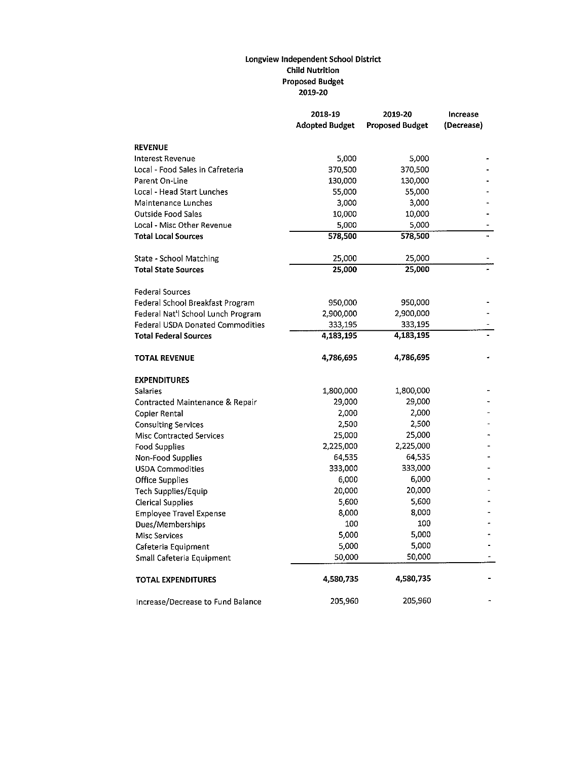## Longview Independent School District **Child Nutrition Proposed Budget** 2019-20

|                                         | 2018-19<br><b>Adopted Budget</b> | 2019-20<br><b>Proposed Budget</b> | Increase<br>(Decrease) |
|-----------------------------------------|----------------------------------|-----------------------------------|------------------------|
| <b>REVENUE</b>                          |                                  |                                   |                        |
| <b>Interest Revenue</b>                 | 5,000                            | 5,000                             |                        |
| Local - Food Sales in Cafreteria        | 370,500                          | 370,500                           |                        |
| Parent On-Line                          | 130,000                          | 130,000                           |                        |
| Local - Head Start Lunches              | 55,000                           | 55,000                            |                        |
| Maintenance Lunches                     | 3,000                            | 3,000                             |                        |
| <b>Outside Food Sales</b>               | 10,000                           | 10,000                            |                        |
| Local - Misc Other Revenue              | 5,000                            | 5,000                             |                        |
| <b>Total Local Sources</b>              | 578,500                          | 578,500                           |                        |
| State - School Matching                 | 25,000                           | 25,000                            |                        |
| <b>Total State Sources</b>              | 25,000                           | 25,000                            |                        |
| <b>Federal Sources</b>                  |                                  |                                   |                        |
| Federal School Breakfast Program        | 950,000                          | 950,000                           |                        |
| Federal Nat'l School Lunch Program      | 2,900,000                        | 2,900,000                         |                        |
| <b>Federal USDA Donated Commodities</b> | 333,195                          | 333,195                           |                        |
| <b>Total Federal Sources</b>            | 4,183,195                        | 4,183,195                         |                        |
| TOTAL REVENUE                           | 4,786,695                        | 4,786,695                         |                        |
| <b>EXPENDITURES</b>                     |                                  |                                   |                        |
| Salaries                                | 1,800,000                        | 1,800,000                         |                        |
| Contracted Maintenance & Repair         | 29,000                           | 29,000                            |                        |
| <b>Copier Rental</b>                    | 2,000                            | 2,000                             |                        |
| <b>Consulting Services</b>              | 2,500                            | 2,500                             |                        |
| <b>Misc Contracted Services</b>         | 25,000                           | 25,000                            |                        |
| <b>Food Supplies</b>                    | 2,225,000                        | 2,225,000                         |                        |
| Non-Food Supplies                       | 64,535                           | 64.535                            |                        |
| <b>USDA Commodities</b>                 | 333,000                          | 333,000                           |                        |
| Office Supplies                         | 6,000                            | 6,000                             |                        |
| Tech Supplies/Equip                     | 20,000                           | 20,000                            |                        |
| <b>Clerical Supplies</b>                | 5,600                            | 5,600                             |                        |
| <b>Employee Travel Expense</b>          | 8,000                            | 8,000                             |                        |
| Dues/Memberships                        | 100                              | 100                               |                        |
| <b>Misc Services</b>                    | 5,000                            | 5,000                             |                        |
| Cafeteria Equipment                     | 5,000                            | 5,000                             |                        |
| Small Cafeteria Equipment               | 50,000                           | 50,000                            |                        |
| <b>TOTAL EXPENDITURES</b>               | 4,580,735                        | 4,580,735                         |                        |
| Increase/Decrease to Fund Balance       | 205,960                          | 205,960                           |                        |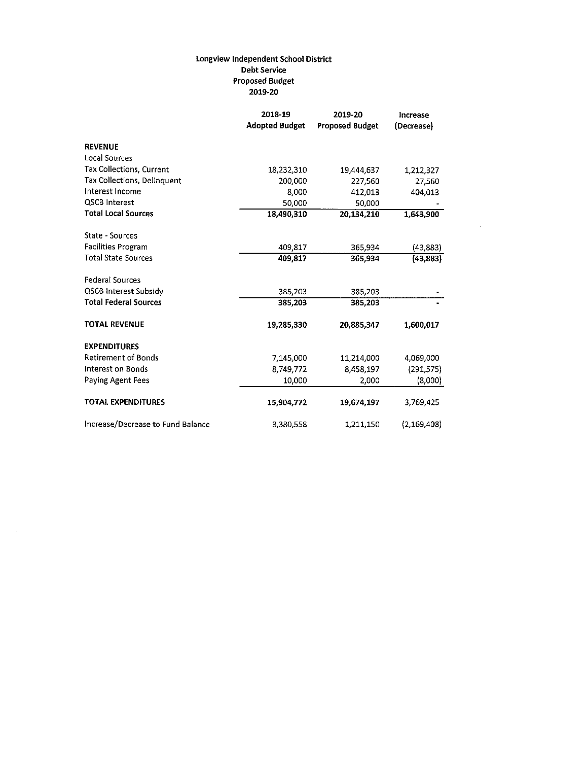## Longview Independent School District **Debt Service Proposed Budget** 2019-20

|                                   | 2018-19               | 2019-20                | Increase      |
|-----------------------------------|-----------------------|------------------------|---------------|
|                                   | <b>Adopted Budget</b> | <b>Proposed Budget</b> | (Decrease)    |
| <b>REVENUE</b>                    |                       |                        |               |
| Local Sources                     |                       |                        |               |
| Tax Collections, Current          | 18,232,310            | 19,444,637             | 1,212,327     |
| Tax Collections, Delinquent       | 200,000               | 227,560                | 27,560        |
| Interest Income                   | 8,000                 | 412,013                | 404,013       |
| <b>QSCB Interest</b>              | 50,000                | 50,000                 |               |
| <b>Total Local Sources</b>        | 18,490,310            | 20,134,210             | 1,643,900     |
| State - Sources                   |                       |                        |               |
| <b>Facilities Program</b>         | 409,817               | 365,934                | (43, 883)     |
| <b>Total State Sources</b>        | 409,817               | 365,934                | (43, 883)     |
| <b>Federal Sources</b>            |                       |                        |               |
| QSCB Interest Subsidy             | 385,203               | 385,203                |               |
| <b>Total Federal Sources</b>      | 385,203               | 385,203                |               |
| <b>TOTAL REVENUE</b>              | 19,285,330            | 20,885,347             | 1,600,017     |
| <b>EXPENDITURES</b>               |                       |                        |               |
| <b>Retirement of Bonds</b>        | 7,145,000             | 11,214,000             | 4,069,000     |
| Interest on Bonds                 | 8,749,772             | 8,458,197              | (291, 575)    |
| <b>Paying Agent Fees</b>          | 10,000                | 2,000                  | (8,000)       |
| <b>TOTAL EXPENDITURES</b>         | 15,904,772            | 19,674,197             | 3,769,425     |
| Increase/Decrease to Fund Balance | 3,380,558             | 1,211,150              | (2, 169, 408) |

 $\mathcal{A}_\mathrm{c}$ 

 $\sim$   $\sim$